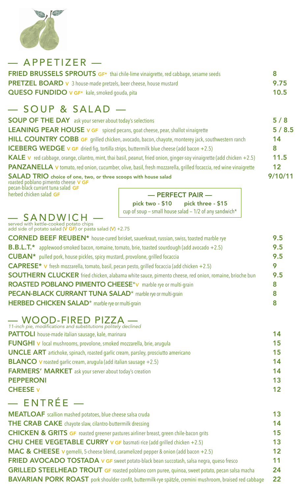

— APPETIZER —

| <b>FRIED BRUSSELS SPROUTS GF*</b> thai chile-lime vinaigrette, red cabbage, sesame seeds |      |
|------------------------------------------------------------------------------------------|------|
| <b>PRETZEL BOARD</b> v 3 house-made pretzels, beer cheese, house mustard                 | 9.75 |
| QUESO FUNDIDO v GF* kale, smoked gouda, pita                                             | 10.5 |

### — SOUP & SALAD —

| <b>SOUP OF THE DAY</b> ask your server about today's selections                                                                  | 5/8     |
|----------------------------------------------------------------------------------------------------------------------------------|---------|
| <b>LEANING PEAR HOUSE V GF</b> spiced pecans, goat cheese, pear, shallot vinaigrette                                             | 5/8.5   |
| HILL COUNTRY COBB GF grilled chicken, avocado, bacon, chayote, monterey jack, southwestern ranch                                 | 14      |
| <b>ICEBERG WEDGE v GF</b> dried fig, tortilla strips, buttermilk blue cheese (add bacon +2.5)                                    | 8       |
| <b>KALE</b> v red cabbage, orange, cilantro, mint, thai basil, peanut, fried onion, ginger-soy vinaigrette (add chicken $+2.5$ ) | 11.5    |
| <b>PANZANELLA</b> v tomato, red onion, cucumber, olive, basil, fresh mozzarella, grilled focaccia, red wine vinaigrette          | 12      |
| SALAD TRIO choice of one, two, or three scoops with house salad<br>resoluted perhapse pimente checes MCF                         | 9/10/11 |

roasted poblano pimento cheese V GF pecan-black currant tuna salad GF herbed chicken salad GF

### — PERFECT PAIR —

 $\overline{a}$ pick two - \$10 pick three - \$15 cup of soup – small house salad –  $1/2$  of any sandwich\*

# —— **SANDWICH** —<br>served with kettle-cooked potato chips

add side of potato salad (**V GF**) or pasta salad (**V**) +2.75

| CORNED BEEF REUBEN* house-cured brisket, sauerkraut, russian, swiss, toasted marble rye               | 9.5 |
|-------------------------------------------------------------------------------------------------------|-----|
| <b>B.B.L.T.</b> * applewood-smoked bacon, romaine, tomato, brie, toasted sourdough (add avocado +2.5) | 9.5 |
| CUBAN* pulled pork, house pickles, spicy mustard, provolone, grilled focaccia                         | 9.5 |
| <b>CAPRESE*</b> v fresh mozzarella, tomato, basil, pecan pesto, grilled focaccia (add chicken +2.5)   | 9   |
| SOUTHERN CLUCKER fried chicken, alabama white sauce, pimento cheese, red onion, romaine, brioche bun  | 9.5 |
| ROASTED POBLANO PIMENTO CHEESE*V marble rye or multi-grain                                            | 8   |
| <b>PECAN-BLACK CURRANT TUNA SALAD*</b> marble rye or multi-grain                                      | 8   |
| HERBED CHICKEN SALAD <sup>*</sup> marble rye or multi-grain                                           | 8   |
|                                                                                                       |     |

#### — WOOD-FIRED PIZZA — *11-inch pie, modifications and substitutions politely declined*

| <b>PATTOLI</b> house-made italian sausage, kale, marinara                                | 14 |
|------------------------------------------------------------------------------------------|----|
| <b>FUNGHI</b> v local mushrooms, provolone, smoked mozzarella, brie, arugula             | 15 |
| <b>UNCLE ART</b> artichoke, spinach, roasted garlic cream, parsley, prosciutto americano | 15 |
| <b>BLANCO</b> v roasted garlic cream, arugula (add italian sausage $+2.5$ )              | 14 |
| <b>FARMERS' MARKET</b> ask your server about today's creation                            | 14 |
| <b>PEPPERONI</b>                                                                         | 13 |
| <b>CHEESE v</b>                                                                          | 12 |
| <b>CNITOĆC</b>                                                                           |    |

## — ENTRÉE —

**MEATLOAF** scallion mashed potatoes, blue cheese salsa cruda 13 THE CRAB CAKE chayote slaw, cilantro-buttermilk dressing 14 CHICKEN & GRITS GF roasted greener pastures airliner breast, green chile-bacon grits 15 CHU CHEE VEGETABLE CURRY v GF basmati rice (add grilled chicken +2.5) 13 **MAC & CHEESE v** gemelli, 5-cheese blend, caramelized pepper & onion (add bacon  $+2.5$ ) 12 **FRIED AVOCADO TOSTADA v GF** sweet potato-black bean succotash, salsa negra, queso fresco 11 GRILLED STEELHEAD TROUT GF roasted poblano corn puree, quinoa, sweet potato, pecan salsa macha 24 BAVARIAN PORK ROAST pork shoulder confit, buttermilk-rye spätzle, cremini mushroom, braised red cabbage 22